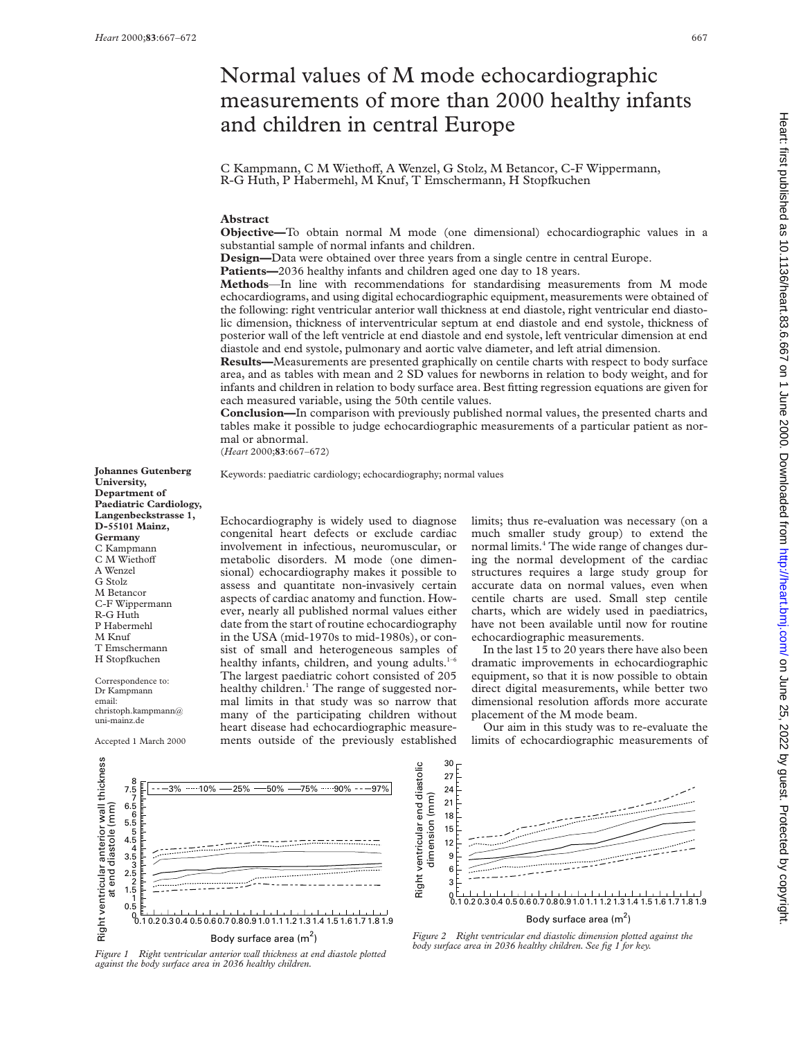# Normal values of M mode echocardiographic measurements of more than 2000 healthy infants and children in central Europe

C Kampmann, C M Wiethoff, A Wenzel, G Stolz, M Betancor, C-F Wippermann, R-G Huth, P Habermehl, M Knuf, T Emschermann, H Stopfkuchen

### **Abstract**

**Objective—**To obtain normal M mode (one dimensional) echocardiographic values in a substantial sample of normal infants and children.

**Design—**Data were obtained over three years from a single centre in central Europe. **Patients—**2036 healthy infants and children aged one day to 18 years.

**Methods**—In line with recommendations for standardising measurements from M mode echocardiograms, and using digital echocardiographic equipment, measurements were obtained of the following: right ventricular anterior wall thickness at end diastole, right ventricular end diastolic dimension, thickness of interventricular septum at end diastole and end systole, thickness of posterior wall of the left ventricle at end diastole and end systole, left ventricular dimension at end diastole and end systole, pulmonary and aortic valve diameter, and left atrial dimension.

**Results—**Measurements are presented graphically on centile charts with respect to body surface area, and as tables with mean and 2 SD values for newborns in relation to body weight, and for infants and children in relation to body surface area. Best fitting regression equations are given for each measured variable, using the 50th centile values.

**Conclusion—**In comparison with previously published normal values, the presented charts and tables make it possible to judge echocardiographic measurements of a particular patient as normal or abnormal.

(*Heart* 2000;**83**:667–672)

Keywords: paediatric cardiology; echocardiography; normal values

Echocardiography is widely used to diagnose congenital heart defects or exclude cardiac involvement in infectious, neuromuscular, or metabolic disorders. M mode (one dimensional) echocardiography makes it possible to assess and quantitate non-invasively certain aspects of cardiac anatomy and function. However, nearly all published normal values either date from the start of routine echocardiography in the USA (mid-1970s to mid-1980s), or consist of small and heterogeneous samples of healthy infants, children, and young adults.<sup>1-6</sup> The largest paediatric cohort consisted of 205 healthy children.<sup>1</sup> The range of suggested normal limits in that study was so narrow that many of the participating children without heart disease had echocardiographic measurements outside of the previously established limits; thus re-evaluation was necessary (on a much smaller study group) to extend the normal limits.4 The wide range of changes during the normal development of the cardiac structures requires a large study group for accurate data on normal values, even when centile charts are used. Small step centile charts, which are widely used in paediatrics, have not been available until now for routine echocardiographic measurements.

In the last 15 to 20 years there have also been dramatic improvements in echocardiographic equipment, so that it is now possible to obtain direct digital measurements, while better two dimensional resolution affords more accurate placement of the M mode beam.

Our aim in this study was to re-evaluate the limits of echocardiographic measurements of

r anterior wall thickness<br>diastole (mm) Right ventricular anterior wall thickness 8 7.5 7 3% ······10% —25% —50% —75% ·····90% - - –97% at end diastole (mm) 6.5 6 5.5 5 4.5 4 3.5 3 Right ventricular<br>at end o 2.5 2 1.5 1 0.5 <sup>0</sup> 1.9 0.1 0.2 0.3 0.4 0.5 0.6 0.7 0.80.9 1.0 1.1 1.2 1.3 1.4 1.5 1.6 1.7 1.8 Body surface area (m $^2$ )

*Figure 1 Right ventricular anterior wall thickness at end diastole plotted against the body surface area in 2036 healthy children.*



*Figure 2 Right ventricular end diastolic dimension plotted against the body surface area in 2036 healthy children. See fig 1 for key.*

**Johannes Gutenberg University, Department of Paediatric Cardiology, Langenbeckstrasse 1, D-55101 Mainz, Germany** C Kampmann C M Wiethoff A Wenzel G Stolz M Betancor C-F Wippermann R-G Huth P Habermehl M Knuf T Emschermann H Stopfkuchen

Correspondence to: Dr Kampmann email: christoph.kampmann@ uni-mainz.de

Accepted 1 March 2000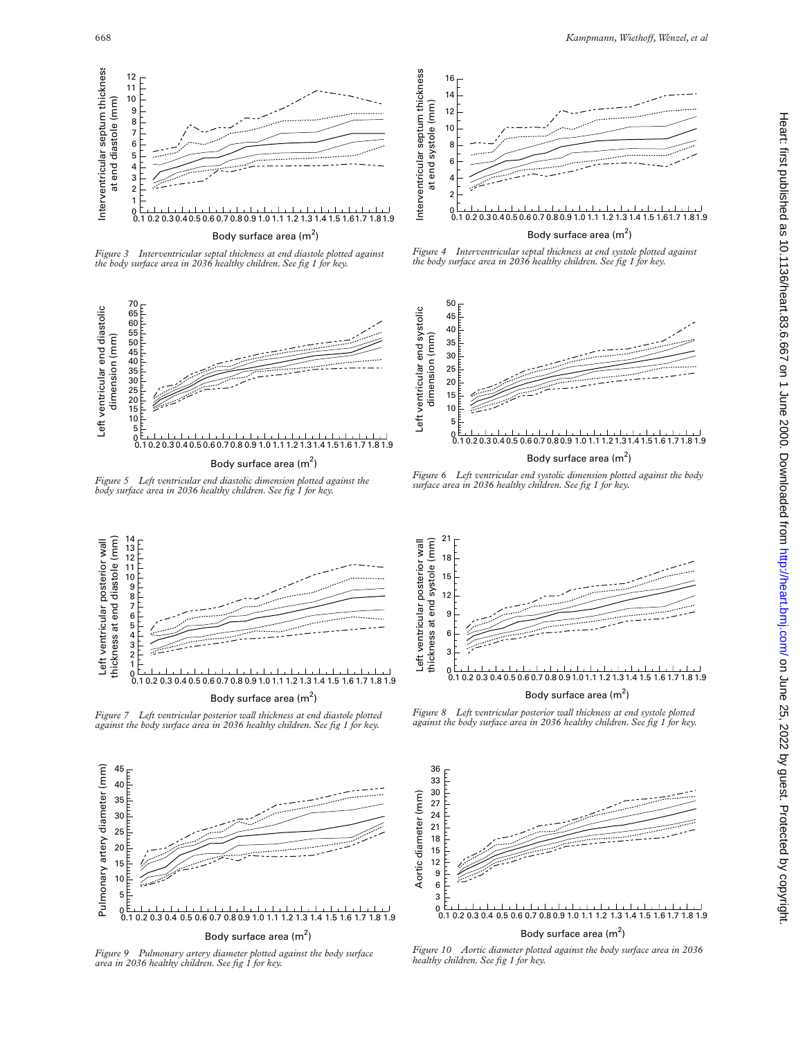

*Figure 3 Interventricular septal thickness at end diastole plotted against the body surface area in 2036 healthy children. See fig 1 for key.*



*Figure 5 Left ventricular end diastolic dimension plotted against the body surface area in 2036 healthy children. See fig 1 for key.*



*Figure 7 Left ventricular posterior wall thickness at end diastole plotted against the body surface area in 2036 healthy children. See fig 1 for key.*



*Figure 9 Pulmonary artery diameter plotted against the body surface area in 2036 healthy children. See fig 1 for key.*



*Figure 4 Interventricular septal thickness at end systole plotted against the body surface area in 2036 healthy children. See fig 1 for key.*



*Figure 6 Left ventricular end systolic dimension plotted against the body surface area in 2036 healthy children. See fig 1 for key.*



*Figure 8 Left ventricular posterior wall thickness at end systole plotted against the body surface area in 2036 healthy children. See fig 1 for key.*



*Figure 10 Aortic diameter plotted against the body surface area in 2036 healthy children. See fig 1 for key.*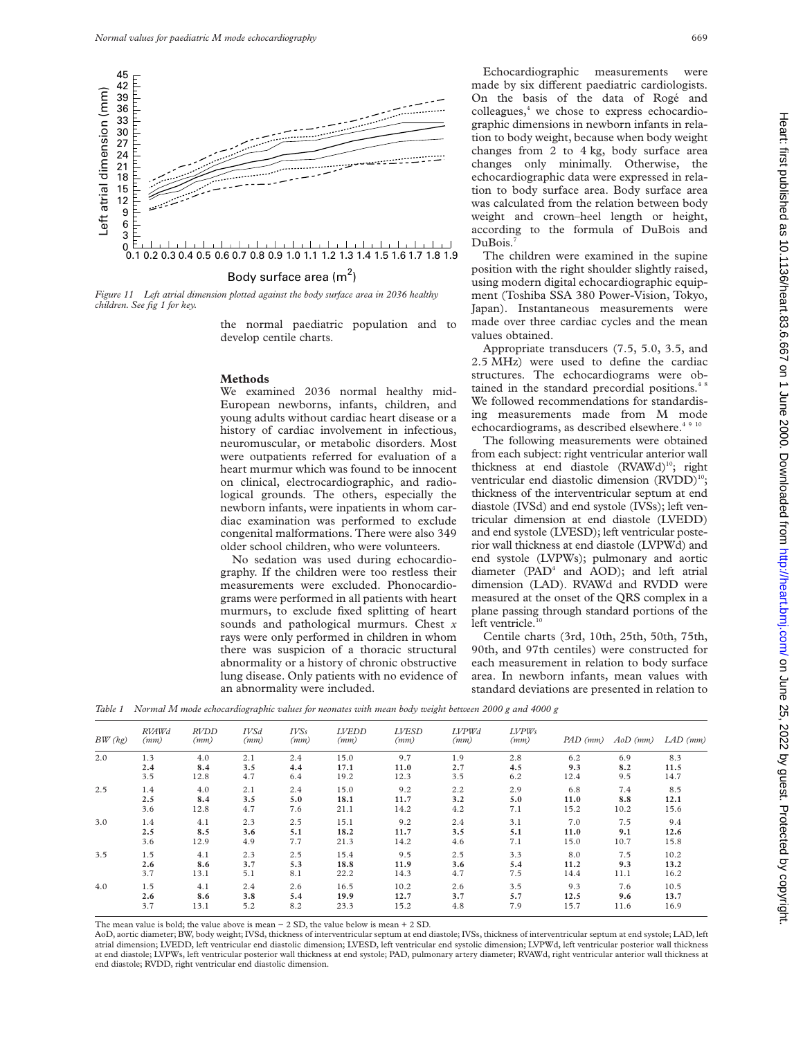

## Body surface area (m $^2$ )

*Figure 11 Left atrial dimension plotted against the body surface area in 2036 healthy children. See fig 1 for key.*

the normal paediatric population and to develop centile charts.

#### **Methods**

We examined 2036 normal healthy mid-European newborns, infants, children, and young adults without cardiac heart disease or a history of cardiac involvement in infectious, neuromuscular, or metabolic disorders. Most were outpatients referred for evaluation of a heart murmur which was found to be innocent on clinical, electrocardiographic, and radiological grounds. The others, especially the newborn infants, were inpatients in whom cardiac examination was performed to exclude congenital malformations. There were also 349 older school children, who were volunteers.

No sedation was used during echocardiography. If the children were too restless their measurements were excluded. Phonocardiograms were performed in all patients with heart murmurs, to exclude fixed splitting of heart sounds and pathological murmurs. Chest *x* rays were only performed in children in whom there was suspicion of a thoracic structural abnormality or a history of chronic obstructive lung disease. Only patients with no evidence of an abnormality were included.

Echocardiographic measurements were made by six different paediatric cardiologists. On the basis of the data of Rogé and colleagues,<sup>4</sup> we chose to express echocardiographic dimensions in newborn infants in relation to body weight, because when body weight changes from 2 to 4 kg, body surface area changes only minimally. Otherwise, the echocardiographic data were expressed in relation to body surface area. Body surface area was calculated from the relation between body weight and crown–heel length or height, according to the formula of DuBois and DuBois.<sup>7</sup>

The children were examined in the supine position with the right shoulder slightly raised, using modern digital echocardiographic equipment (Toshiba SSA 380 Power-Vision, Tokyo, Japan). Instantaneous measurements were made over three cardiac cycles and the mean values obtained.

Appropriate transducers (7.5, 5.0, 3.5, and 2.5 MHz) were used to define the cardiac structures. The echocardiograms were obtained in the standard precordial positions.<sup>48</sup> We followed recommendations for standardising measurements made from M mode echocardiograms, as described elsewhere.<sup>4 9 10</sup>

The following measurements were obtained from each subject: right ventricular anterior wall thickness at end diastole  $(RVAWd)^{10}$ ; right ventricular end diastolic dimension  $(RVDD)^{10}$ ; thickness of the interventricular septum at end diastole (IVSd) and end systole (IVSs); left ventricular dimension at end diastole (LVEDD) and end systole (LVESD); left ventricular posterior wall thickness at end diastole (LVPWd) and end systole (LVPWs); pulmonary and aortic diameter (PAD<sup>4</sup> and AOD); and left atrial dimension (LAD). RVAWd and RVDD were measured at the onset of the QRS complex in a plane passing through standard portions of the left ventricle. $1$ 

Centile charts (3rd, 10th, 25th, 50th, 75th, 90th, and 97th centiles) were constructed for each measurement in relation to body surface area. In newborn infants, mean values with standard deviations are presented in relation to

*Table 1 Normal M mode echocardiographic values for neonates with mean body weight between 2000 g and 4000 g*

| $BW$ $(kg)$ | <i>RVAWd</i><br>(mm) | <b>RVDD</b><br>(mm) | <b>IVSd</b><br>(mm) | <b>IVSs</b><br>(mm) | <b>LVEDD</b><br>(mm) | <b>LVESD</b><br>(mm) | LVPWd<br>(mm) | LVPWs<br>(mm) | PAD (mm) | $AoD$ (mm) | $LAD$ (mm) |
|-------------|----------------------|---------------------|---------------------|---------------------|----------------------|----------------------|---------------|---------------|----------|------------|------------|
| 2.0         | 1.3                  | 4.0                 | 2.1                 | 2.4                 | 15.0                 | 9.7                  | 1.9           | 2.8           | 6.2      | 6.9        | 8.3        |
|             | 2.4                  | 8.4                 | 3.5                 | 4.4                 | 17.1                 | 11.0                 | 2.7           | 4.5           | 9.3      | 8.2        | 11.5       |
|             | 3.5                  | 12.8                | 4.7                 | 6.4                 | 19.2                 | 12.3                 | 3.5           | 6.2           | 12.4     | 9.5        | 14.7       |
| 2.5         | 1.4                  | 4.0                 | 2.1                 | 2.4                 | 15.0                 | 9.2                  | 2.2           | 2.9           | 6.8      | 7.4        | 8.5        |
|             | 2.5                  | 8.4                 | 3.5                 | 5.0                 | 18.1                 | 11.7                 | 3.2           | 5.0           | 11.0     | 8.8        | 12.1       |
|             | 3.6                  | 12.8                | 4.7                 | 7.6                 | 21.1                 | 14.2                 | 4.2           | 7.1           | 15.2     | 10.2       | 15.6       |
| 3.0         | 1.4                  | 4.1                 | 2.3                 | 2.5                 | 15.1                 | 9.2                  | 2.4           | 3.1           | 7.0      | 7.5        | 9.4        |
|             | 2.5                  | 8.5                 | 3.6                 | 5.1                 | 18.2                 | 11.7                 | 3.5           | 5.1           | 11.0     | 9.1        | 12.6       |
|             | 3.6                  | 12.9                | 4.9                 | 7.7                 | 21.3                 | 14.2                 | 4.6           | 7.1           | 15.0     | 10.7       | 15.8       |
| 3.5         | 1.5                  | 4.1                 | 2.3                 | 2.5                 | 15.4                 | 9.5                  | 2.5           | 3.3           | 8.0      | 7.5        | 10.2       |
|             | 2.6                  | 8.6                 | 3.7                 | 5.3                 | 18.8                 | 11.9                 | 3.6           | 5.4           | 11.2     | 9.3        | 13.2       |
|             | 3.7                  | 13.1                | 5.1                 | 8.1                 | 22.2                 | 14.3                 | 4.7           | 7.5           | 14.4     | 11.1       | 16.2       |
| 4.0         | 1.5                  | 4.1                 | 2.4                 | 2.6                 | 16.5                 | 10.2                 | 2.6           | 3.5           | 9.3      | 7.6        | 10.5       |
|             | 2.6                  | 8.6                 | 3.8                 | 5.4                 | 19.9                 | 12.7                 | 3.7           | 5.7           | 12.5     | 9.6        | 13.7       |
|             | 3.7                  | 13.1                | 5.2                 | 8.2                 | 23.3                 | 15.2                 | 4.8           | 7.9           | 15.7     | 11.6       | 16.9       |

The mean value is bold; the value above is mean  $-$  2 SD, the value below is mean  $+$  2 SD.

AoD, aortic diameter; BW, body weight; IVSd, thickness of interventricular septum at end diastole; IVSs, thickness of interventricular septum at end systole; LAD, left atrial dimension; LVEDD, left ventricular end diastolic dimension; LVESD, left ventricular end systolic dimension; LVPWd, left ventricular posterior wall thickness at end diastole; LVPWs, left ventricular posterior wall thickness at end systole; PAD, pulmonary artery diameter; RVAWd, right ventricular anterior wall thickness at end diastole; RVDD, right ventricular end diastolic dimension.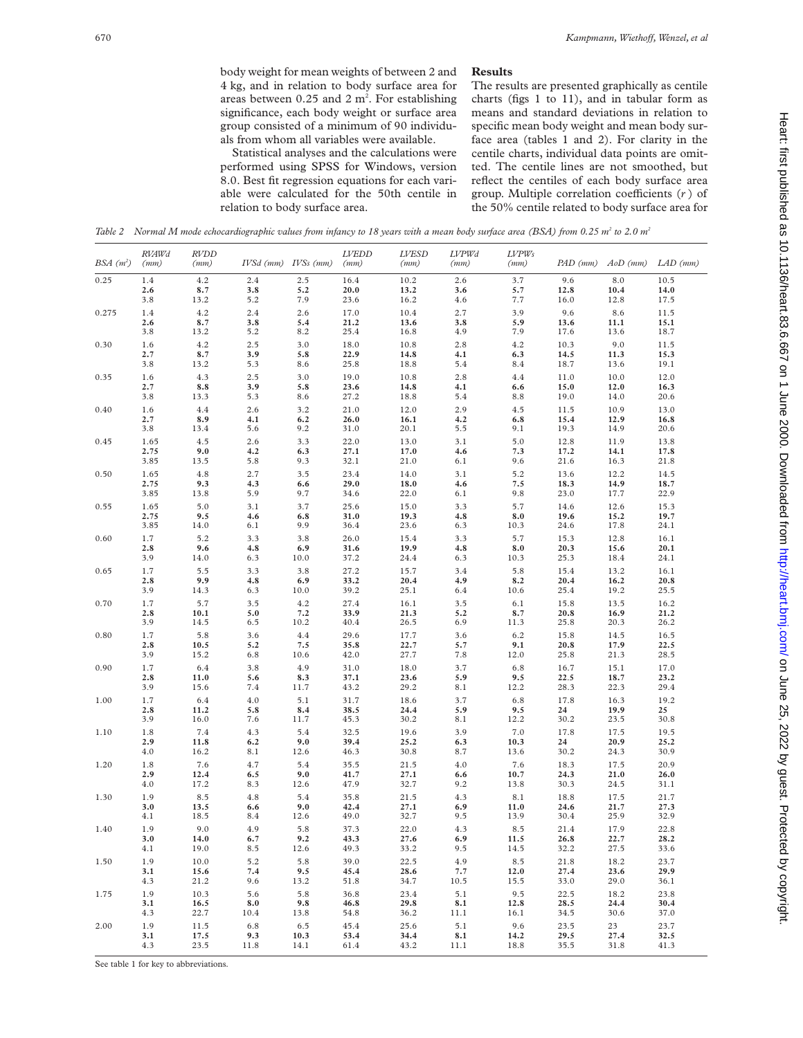body weight for mean weights of between 2 and 4 kg, and in relation to body surface area for areas between  $0.25$  and  $2 \text{ m}^2$ . For establishing significance, each body weight or surface area group consisted of a minimum of 90 individuals from whom all variables were available.

Statistical analyses and the calculations were performed using SPSS for Windows, version 8.0. Best fit regression equations for each variable were calculated for the 50th centile in relation to body surface area.

The results are presented graphically as centile charts (figs 1 to 11), and in tabular form as means and standard deviations in relation to specific mean body weight and mean body surface area (tables 1 and 2). For clarity in the centile charts, individual data points are omitted. The centile lines are not smoothed, but reflect the centiles of each body surface area group. Multiple correlation coefficients (*r*) of the 50% centile related to body surface area for

**Results**

*Table 2* Normal M mode echocardiographic values from infancy to 18 years with a mean body surface area (BSA) from 0.25 m<sup>2</sup> to 2.0 m<sup>2</sup>

| $BSA(m^2)$ | <i>RVAWd</i><br>(mm) | <b>RVDD</b><br>(mm) | IVSd (mm) IVSs (mm) |      | <b>LVEDD</b><br>(mm) | <b>LVESD</b><br>(mm) | LVPWd<br>(mm) | LVPW <sub>s</sub><br>(mm) | PAD (mm) | $AoD$ (mm) | $LAD$ (mm) |
|------------|----------------------|---------------------|---------------------|------|----------------------|----------------------|---------------|---------------------------|----------|------------|------------|
| 0.25       | 1.4                  | 4.2                 | 2.4                 | 2.5  | 16.4                 | 10.2                 | 2.6           | 3.7                       | 9.6      | 8.0        | 10.5       |
|            | 2.6                  | 8.7                 | 3.8                 | 5.2  | 20.0                 | 13.2                 | 3.6           | 5.7                       | 12.8     | 10.4       | 14.0       |
|            | 3.8                  | 13.2                | 5.2                 | 7.9  | 23.6                 | 16.2                 | 4.6           | 7.7                       | 16.0     | 12.8       | 17.5       |
| 0.275      | 1.4                  | 4.2                 | 2.4                 | 2.6  | 17.0                 | 10.4                 | 2.7           | 3.9                       | 9.6      | 8.6        | 11.5       |
|            | 2.6                  | 8.7                 | 3.8                 | 5.4  | 21.2                 | 13.6                 | 3.8           | 5.9                       | 13.6     | 11.1       | 15.1       |
|            | 3.8                  | 13.2                | 5.2                 | 8.2  | 25.4                 | 16.8                 | 4.9           | 7.9                       | 17.6     | 13.6       | 18.7       |
| 0.30       | 1.6                  | 4.2                 | 2.5                 | 3.0  | 18.0                 | 10.8                 | 2.8           | 4.2                       | 10.3     | 9.0        | 11.5       |
|            | 2.7                  | 8.7                 | 3.9                 | 5.8  | 22.9                 | 14.8                 | 4.1           | 6.3                       | 14.5     | 11.3       | 15.3       |
|            | 3.8                  | 13.2                | 5.3                 | 8.6  | 25.8                 | 18.8                 | 5.4           | 8.4                       | 18.7     | 13.6       | 19.1       |
| 0.35       | 1.6                  | 4.3                 | 2.5                 | 3.0  | 19.0                 | 10.8                 | 2.8           | 4.4                       | 11.0     | 10.0       | 12.0       |
|            | 2.7                  | 8.8                 | 3.9                 | 5.8  | 23.6                 | 14.8                 | 4.1           | 6.6                       | 15.0     | 12.0       | 16.3       |
|            | 3.8                  | 13.3                | 5.3                 | 8.6  | 27.2                 | 18.8                 | 5.4           | 8.8                       | 19.0     | 14.0       | 20.6       |
| 0.40       | 1.6                  | 4.4                 | 2.6                 | 3.2  | 21.0                 | 12.0                 | 2.9           | 4.5                       | 11.5     | 10.9       | 13.0       |
|            | 2.7                  | 8.9                 | 4.1                 | 6.2  | 26.0                 | 16.1                 | 4.2           | 6.8                       | 15.4     | 12.9       | 16.8       |
|            | 3.8                  | 13.4                | 5.6                 | 9.2  | 31.0                 | 20.1                 | 5.5           | 9.1                       | 19.3     | 14.9       | 20.6       |
| 0.45       | 1.65                 | 4.5                 | 2.6                 | 3.3  | 22.0                 | 13.0                 | 3.1           | 5.0                       | 12.8     | 11.9       | 13.8       |
|            | 2.75                 | 9.0                 | 4.2                 | 6.3  | 27.1                 | 17.0                 | 4.6           | 7.3                       | 17.2     | 14.1       | 17.8       |
|            | 3.85                 | 13.5                | 5.8                 | 9.3  | 32.1                 | 21.0                 | 6.1           | 9.6                       | 21.6     | 16.3       | 21.8       |
| 0.50       | 1.65                 | 4.8                 | 2.7                 | 3.5  | 23.4                 | 14.0                 | 3.1           | 5.2                       | 13.6     | 12.2       | 14.5       |
|            | 2.75                 | 9.3                 | 4.3                 | 6.6  | 29.0                 | 18.0                 | 4.6           | 7.5                       | 18.3     | 14.9       | 18.7       |
|            | 3.85                 | 13.8                | 5.9                 | 9.7  | 34.6                 | 22.0                 | 6.1           | 9.8                       | 23.0     | 17.7       | 22.9       |
| 0.55       | 1.65                 | 5.0                 | 3.1                 | 3.7  | 25.6                 | 15.0                 | 3.3           | 5.7                       | 14.6     | 12.6       | 15.3       |
|            | 2.75                 | 9.5                 | 4.6                 | 6.8  | 31.0                 | 19.3                 | 4.8           | 8.0                       | 19.6     | 15.2       | 19.7       |
|            | 3.85                 | 14.0                | 6.1                 | 9.9  | 36.4                 | 23.6                 | 6.3           | 10.3                      | 24.6     | 17.8       | 24.1       |
| 0.60       | 1.7                  | 5.2                 | 3.3                 | 3.8  | 26.0                 | 15.4                 | 3.3           | 5.7                       | 15.3     | 12.8       | 16.1       |
|            | 2.8                  | 9.6                 | 4.8                 | 6.9  | 31.6                 | 19.9                 | 4.8           | 8.0                       | 20.3     | 15.6       | 20.1       |
|            | 3.9                  | 14.0                | 6.3                 | 10.0 | 37.2                 | 24.4                 | 6.3           | 10.3                      | 25.3     | 18.4       | 24.1       |
| 0.65       | 1.7                  | 5.5                 | 3.3                 | 3.8  | 27.2                 | 15.7                 | 3.4           | 5.8                       | 15.4     | 13.2       | 16.1       |
|            | 2.8                  | 9.9                 | 4.8                 | 6.9  | 33.2                 | 20.4                 | 4.9           | 8.2                       | 20.4     | 16.2       | 20.8       |
|            | 3.9                  | 14.3                | 6.3                 | 10.0 | 39.2                 | 25.1                 | 6.4           | 10.6                      | 25.4     | 19.2       | 25.5       |
| 0.70       | 1.7                  | 5.7                 | 3.5                 | 4.2  | 27.4                 | 16.1                 | 3.5           | 6.1                       | 15.8     | 13.5       | 16.2       |
|            | 2.8                  | 10.1                | 5.0                 | 7.2  | 33.9                 | 21.3                 | 5.2           | 8.7                       | 20.8     | 16.9       | 21.2       |
|            | 3.9                  | 14.5                | 6.5                 | 10.2 | 40.4                 | 26.5                 | 6.9           | 11.3                      | 25.8     | 20.3       | 26.2       |
| 0.80       | 1.7                  | 5.8                 | 3.6                 | 4.4  | 29.6                 | 17.7                 | 3.6           | 6.2                       | 15.8     | 14.5       | 16.5       |
|            | 2.8                  | 10.5                | 5.2                 | 7.5  | 35.8                 | 22.7                 | 5.7           | 9.1                       | 20.8     | 17.9       | 22.5       |
|            | 3.9                  | 15.2                | 6.8                 | 10.6 | 42.0                 | 27.7                 | 7.8           | 12.0                      | 25.8     | 21.3       | 28.5       |
| 0.90       | 1.7                  | 6.4                 | 3.8                 | 4.9  | 31.0                 | 18.0                 | 3.7           | 6.8                       | 16.7     | 15.1       | 17.0       |
|            | 2.8                  | 11.0                | 5.6                 | 8.3  | 37.1                 | 23.6                 | 5.9           | 9.5                       | 22.5     | 18.7       | 23.2       |
|            | 3.9                  | 15.6                | 7.4                 | 11.7 | 43.2                 | 29.2                 | 8.1           | 12.2                      | 28.3     | 22.3       | 29.4       |
| 1.00       | 1.7                  | 6.4                 | 4.0                 | 5.1  | 31.7                 | 18.6                 | 3.7           | 6.8                       | 17.8     | 16.3       | 19.2       |
|            | 2.8                  | 11.2                | 5.8                 | 8.4  | 38.5                 | 24.4                 | 5.9           | 9.5                       | 24       | 19.9       | 25         |
|            | 3.9                  | 16.0                | 7.6                 | 11.7 | 45.3                 | 30.2                 | 8.1           | 12.2                      | 30.2     | 23.5       | 30.8       |
| 1.10       | 1.8                  | 7.4                 | 4.3                 | 5.4  | 32.5                 | 19.6                 | 3.9           | 7.0                       | 17.8     | 17.5       | 19.5       |
|            | 2.9                  | 11.8                | 6.2                 | 9.0  | 39.4                 | 25.2                 | 6.3           | 10.3                      | 24       | 20.9       | 25.2       |
|            | 4.0                  | 16.2                | 8.1                 | 12.6 | 46.3                 | 30.8                 | 8.7           | 13.6                      | 30.2     | 24.3       | 30.9       |
| 1.20       | 1.8                  | 7.6                 | 4.7                 | 5.4  | 35.5                 | 21.5                 | 4.0           | 7.6                       | 18.3     | 17.5       | 20.9       |
|            | 2.9                  | 12.4                | 6.5                 | 9.0  | 41.7                 | 27.1                 | 6.6           | 10.7                      | 24.3     | 21.0       | 26.0       |
|            | 4.0                  | 17.2                | 8.3                 | 12.6 | 47.9                 | 32.7                 | 9.2           | 13.8                      | 30.3     | 24.5       | 31.1       |
| 1.30       | 1.9                  | 8.5                 | 4.8                 | 5.4  | 35.8                 | 21.5                 | 4.3           | 8.1                       | 18.8     | 17.5       | 21.7       |
|            | 3.0                  | 13.5                | 6.6                 | 9.0  | 42.4                 | 27.1                 | 6.9           | 11.0                      | 24.6     | 21.7       | 27.3       |
|            | 4.1                  | 18.5                | 8.4                 | 12.6 | 49.0                 | 32.7                 | 9.5           | 13.9                      | 30.4     | 25.9       | 32.9       |
| 1.40       | 1.9                  | 9.0                 | 4.9                 | 5.8  | 37.3                 | 22.0                 | 4.3           | 8.5                       | 21.4     | 17.9       | 22.8       |
|            | 3.0                  | 14.0                | 6.7                 | 9.2  | 43.3                 | 27.6                 | 6.9           | 11.5                      | 26.8     | 22.7       | 28.2       |
|            | 4.1                  | 19.0                | 8.5                 | 12.6 | 49.3                 | 33.2                 | 9.5           | 14.5                      | 32.2     | 27.5       | 33.6       |
| 1.50       | 1.9                  | 10.0                | 5.2                 | 5.8  | 39.0                 | 22.5                 | 4.9           | 8.5                       | 21.8     | 18.2       | 23.7       |
|            | 3.1                  | 15.6                | 7.4                 | 9.5  | 45.4                 | 28.6                 | 7.7           | 12.0                      | 27.4     | 23.6       | 29.9       |
|            | 4.3                  | 21.2                | 9.6                 | 13.2 | 51.8                 | 34.7                 | 10.5          | 15.5                      | 33.0     | 29.0       | 36.1       |
| 1.75       | 1.9                  | 10.3                | 5.6                 | 5.8  | 36.8                 | 23.4                 | 5.1           | 9.5                       | 22.5     | 18.2       | 23.8       |
|            | 3.1                  | 16.5                | 8.0                 | 9.8  | 46.8                 | 29.8                 | 8.1           | 12.8                      | 28.5     | 24.4       | 30.4       |
|            | 4.3                  | 22.7                | 10.4                | 13.8 | 54.8                 | 36.2                 | 11.1          | 16.1                      | 34.5     | 30.6       | 37.0       |
| 2.00       | 1.9                  | 11.5                | 6.8                 | 6.5  | 45.4                 | 25.6                 | 5.1           | 9.6                       | 23.5     | 23         | 23.7       |
|            | 3.1                  | 17.5                | 9.3                 | 10.3 | 53.4                 | 34.4                 | 8.1           | 14.2                      | 29.5     | 27.4       | 32.5       |
|            | 4.3                  | 23.5                | 11.8                | 14.1 | 61.4                 | 43.2                 | 11.1          | 18.8                      | 35.5     | 31.8       | 41.3       |

See table 1 for key to abbreviations.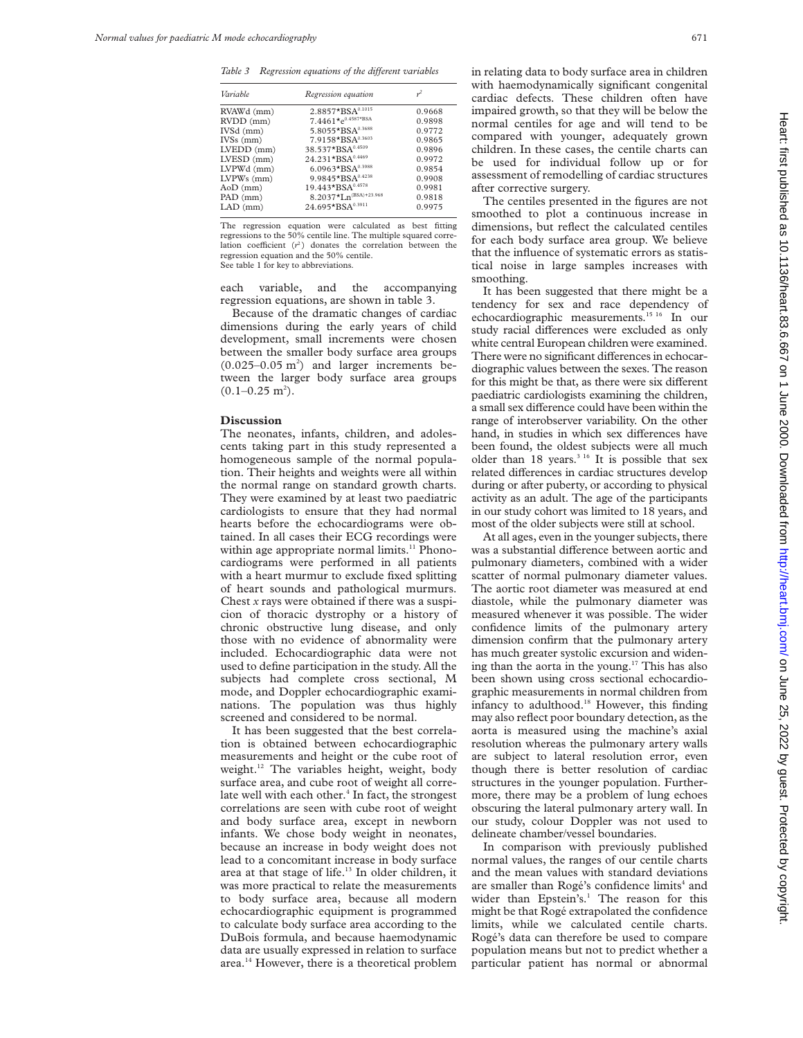*Table 3* Regression equations of the different variables

| Variable     | Regression equation               |        |  |  |
|--------------|-----------------------------------|--------|--|--|
| RVAWd (mm)   | 2.8857*BSA0.1015                  | 0.9668 |  |  |
| RVDD (mm)    | $7.4461*e^{0.4587*BSA}$           | 0.9898 |  |  |
| IVSd (mm)    | 5.8055*BSA0.3688                  | 0.9772 |  |  |
| $IVSs$ (mm)  | 7.9158*BSA0.3603                  | 0.9865 |  |  |
| LVEDD (mm)   | 38.537*BSA0.4509                  | 0.9896 |  |  |
| LVESD (mm)   | 24.231*BSA0.4469                  | 0.9972 |  |  |
| LVPWd (mm)   | $6.0963*BSA^{0.3988}$             | 0.9854 |  |  |
| $LVPWs$ (mm) | 9.9845*BSA0.4238                  | 0.9908 |  |  |
| AoD (mm)     | 19.443*BSA0.4578                  | 0.9981 |  |  |
| PAD (mm)     | 8.2037*Ln <sup>(BSA)+23.968</sup> | 0.9818 |  |  |
| $LAD$ (mm)   | 24.695*BSA0.3911                  | 0.9975 |  |  |

The regression equation were calculated as best fitting regressions to the 50% centile line. The multiple squared correlation coefficient  $(r^2)$  donates the correlation between the regression equation and the 50% centile. See table 1 for key to abbreviations.

each variable, and the accompanying regression equations, are shown in table 3.

Because of the dramatic changes of cardiac dimensions during the early years of child development, small increments were chosen between the smaller body surface area groups  $(0.025-0.05 \text{ m}^2)$  and larger increments between the larger body surface area groups  $(0.1 - 0.25 \text{ m}^2).$ 

#### **Discussion**

The neonates, infants, children, and adolescents taking part in this study represented a homogeneous sample of the normal population. Their heights and weights were all within the normal range on standard growth charts. They were examined by at least two paediatric cardiologists to ensure that they had normal hearts before the echocardiograms were obtained. In all cases their ECG recordings were within age appropriate normal limits.<sup>11</sup> Phonocardiograms were performed in all patients with a heart murmur to exclude fixed splitting of heart sounds and pathological murmurs. Chest *x* rays were obtained if there was a suspicion of thoracic dystrophy or a history of chronic obstructive lung disease, and only those with no evidence of abnormality were included. Echocardiographic data were not used to define participation in the study. All the subjects had complete cross sectional, M mode, and Doppler echocardiographic examinations. The population was thus highly screened and considered to be normal.

It has been suggested that the best correlation is obtained between echocardiographic measurements and height or the cube root of weight.<sup>12</sup> The variables height, weight, body surface area, and cube root of weight all correlate well with each other. $4$  In fact, the strongest correlations are seen with cube root of weight and body surface area, except in newborn infants. We chose body weight in neonates, because an increase in body weight does not lead to a concomitant increase in body surface area at that stage of life.<sup>13</sup> In older children, it was more practical to relate the measurements to body surface area, because all modern echocardiographic equipment is programmed to calculate body surface area according to the DuBois formula, and because haemodynamic data are usually expressed in relation to surface area.<sup>14</sup> However, there is a theoretical problem

in relating data to body surface area in children with haemodynamically significant congenital cardiac defects. These children often have impaired growth, so that they will be below the normal centiles for age and will tend to be compared with younger, adequately grown children. In these cases, the centile charts can be used for individual follow up or for assessment of remodelling of cardiac structures after corrective surgery.

The centiles presented in the figures are not smoothed to plot a continuous increase in dimensions, but reflect the calculated centiles for each body surface area group. We believe that the influence of systematic errors as statistical noise in large samples increases with smoothing.

It has been suggested that there might be a tendency for sex and race dependency of echocardiographic measurements.15 16 In our study racial differences were excluded as only white central European children were examined. There were no significant differences in echocardiographic values between the sexes. The reason for this might be that, as there were six different paediatric cardiologists examining the children, a small sex difference could have been within the range of interobserver variability. On the other hand, in studies in which sex differences have been found, the oldest subjects were all much older than  $18$  years.<sup>3 16</sup> It is possible that sex related differences in cardiac structures develop during or after puberty, or according to physical activity as an adult. The age of the participants in our study cohort was limited to 18 years, and most of the older subjects were still at school.

At all ages, even in the younger subjects, there was a substantial difference between aortic and pulmonary diameters, combined with a wider scatter of normal pulmonary diameter values. The aortic root diameter was measured at end diastole, while the pulmonary diameter was measured whenever it was possible. The wider confidence limits of the pulmonary artery dimension confirm that the pulmonary artery has much greater systolic excursion and widening than the aorta in the young.<sup>17</sup> This has also been shown using cross sectional echocardiographic measurements in normal children from infancy to adulthood.18 However, this finding may also reflect poor boundary detection, as the aorta is measured using the machine's axial resolution whereas the pulmonary artery walls are subject to lateral resolution error, even though there is better resolution of cardiac structures in the younger population. Furthermore, there may be a problem of lung echoes obscuring the lateral pulmonary artery wall. In our study, colour Doppler was not used to delineate chamber/vessel boundaries.

In comparison with previously published normal values, the ranges of our centile charts and the mean values with standard deviations are smaller than Rogé's confidence limits<sup>4</sup> and wider than Epstein's.<sup>1</sup> The reason for this might be that Rogé extrapolated the confidence limits, while we calculated centile charts. Rogé's data can therefore be used to compare population means but not to predict whether a particular patient has normal or abnormal